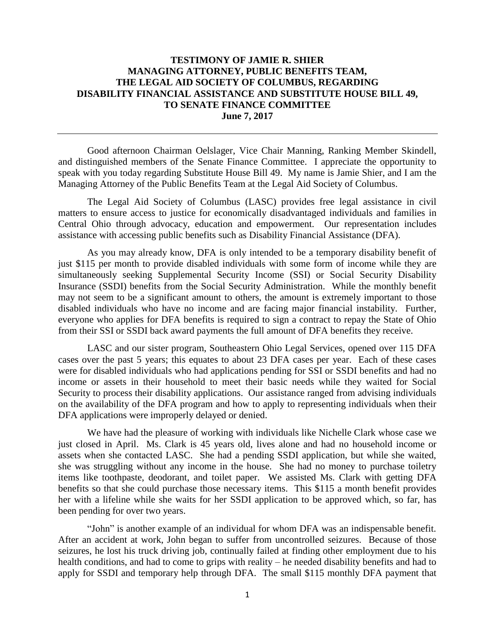## **TESTIMONY OF JAMIE R. SHIER MANAGING ATTORNEY, PUBLIC BENEFITS TEAM, THE LEGAL AID SOCIETY OF COLUMBUS, REGARDING DISABILITY FINANCIAL ASSISTANCE AND SUBSTITUTE HOUSE BILL 49, TO SENATE FINANCE COMMITTEE June 7, 2017**

Good afternoon Chairman Oelslager, Vice Chair Manning, Ranking Member Skindell, and distinguished members of the Senate Finance Committee. I appreciate the opportunity to speak with you today regarding Substitute House Bill 49. My name is Jamie Shier, and I am the Managing Attorney of the Public Benefits Team at the Legal Aid Society of Columbus.

The Legal Aid Society of Columbus (LASC) provides free legal assistance in civil matters to ensure access to justice for economically disadvantaged individuals and families in Central Ohio through advocacy, education and empowerment. Our representation includes assistance with accessing public benefits such as Disability Financial Assistance (DFA).

As you may already know, DFA is only intended to be a temporary disability benefit of just \$115 per month to provide disabled individuals with some form of income while they are simultaneously seeking Supplemental Security Income (SSI) or Social Security Disability Insurance (SSDI) benefits from the Social Security Administration. While the monthly benefit may not seem to be a significant amount to others, the amount is extremely important to those disabled individuals who have no income and are facing major financial instability. Further, everyone who applies for DFA benefits is required to sign a contract to repay the State of Ohio from their SSI or SSDI back award payments the full amount of DFA benefits they receive.

LASC and our sister program, Southeastern Ohio Legal Services, opened over 115 DFA cases over the past 5 years; this equates to about 23 DFA cases per year. Each of these cases were for disabled individuals who had applications pending for SSI or SSDI benefits and had no income or assets in their household to meet their basic needs while they waited for Social Security to process their disability applications. Our assistance ranged from advising individuals on the availability of the DFA program and how to apply to representing individuals when their DFA applications were improperly delayed or denied.

We have had the pleasure of working with individuals like Nichelle Clark whose case we just closed in April. Ms. Clark is 45 years old, lives alone and had no household income or assets when she contacted LASC. She had a pending SSDI application, but while she waited, she was struggling without any income in the house. She had no money to purchase toiletry items like toothpaste, deodorant, and toilet paper. We assisted Ms. Clark with getting DFA benefits so that she could purchase those necessary items. This \$115 a month benefit provides her with a lifeline while she waits for her SSDI application to be approved which, so far, has been pending for over two years.

"John" is another example of an individual for whom DFA was an indispensable benefit. After an accident at work, John began to suffer from uncontrolled seizures. Because of those seizures, he lost his truck driving job, continually failed at finding other employment due to his health conditions, and had to come to grips with reality – he needed disability benefits and had to apply for SSDI and temporary help through DFA. The small \$115 monthly DFA payment that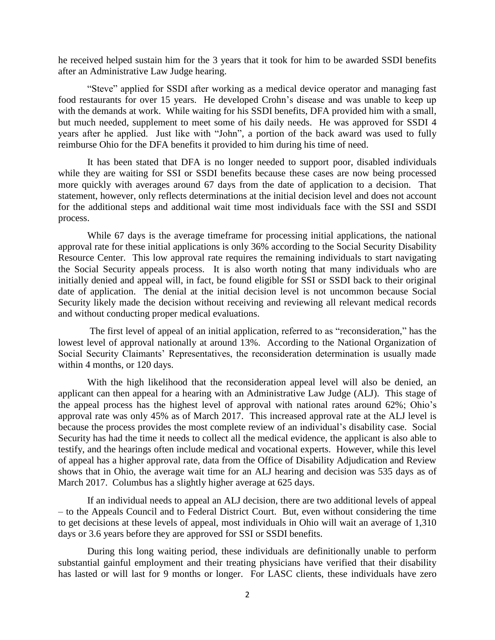he received helped sustain him for the 3 years that it took for him to be awarded SSDI benefits after an Administrative Law Judge hearing.

"Steve" applied for SSDI after working as a medical device operator and managing fast food restaurants for over 15 years. He developed Crohn's disease and was unable to keep up with the demands at work. While waiting for his SSDI benefits, DFA provided him with a small, but much needed, supplement to meet some of his daily needs. He was approved for SSDI 4 years after he applied. Just like with "John", a portion of the back award was used to fully reimburse Ohio for the DFA benefits it provided to him during his time of need.

It has been stated that DFA is no longer needed to support poor, disabled individuals while they are waiting for SSI or SSDI benefits because these cases are now being processed more quickly with averages around 67 days from the date of application to a decision. That statement, however, only reflects determinations at the initial decision level and does not account for the additional steps and additional wait time most individuals face with the SSI and SSDI process.

While 67 days is the average timeframe for processing initial applications, the national approval rate for these initial applications is only 36% according to the Social Security Disability Resource Center. This low approval rate requires the remaining individuals to start navigating the Social Security appeals process. It is also worth noting that many individuals who are initially denied and appeal will, in fact, be found eligible for SSI or SSDI back to their original date of application. The denial at the initial decision level is not uncommon because Social Security likely made the decision without receiving and reviewing all relevant medical records and without conducting proper medical evaluations.

The first level of appeal of an initial application, referred to as "reconsideration," has the lowest level of approval nationally at around 13%. According to the National Organization of Social Security Claimants' Representatives, the reconsideration determination is usually made within 4 months, or 120 days.

With the high likelihood that the reconsideration appeal level will also be denied, an applicant can then appeal for a hearing with an Administrative Law Judge (ALJ). This stage of the appeal process has the highest level of approval with national rates around 62%; Ohio's approval rate was only 45% as of March 2017. This increased approval rate at the ALJ level is because the process provides the most complete review of an individual's disability case. Social Security has had the time it needs to collect all the medical evidence, the applicant is also able to testify, and the hearings often include medical and vocational experts. However, while this level of appeal has a higher approval rate, data from the Office of Disability Adjudication and Review shows that in Ohio, the average wait time for an ALJ hearing and decision was 535 days as of March 2017. Columbus has a slightly higher average at 625 days.

If an individual needs to appeal an ALJ decision, there are two additional levels of appeal – to the Appeals Council and to Federal District Court. But, even without considering the time to get decisions at these levels of appeal, most individuals in Ohio will wait an average of 1,310 days or 3.6 years before they are approved for SSI or SSDI benefits.

During this long waiting period, these individuals are definitionally unable to perform substantial gainful employment and their treating physicians have verified that their disability has lasted or will last for 9 months or longer. For LASC clients, these individuals have zero